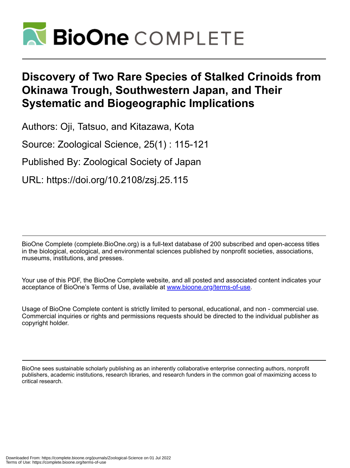

# **Discovery of Two Rare Species of Stalked Crinoids from Okinawa Trough, Southwestern Japan, and Their Systematic and Biogeographic Implications**

Authors: Oji, Tatsuo, and Kitazawa, Kota

Source: Zoological Science, 25(1) : 115-121

Published By: Zoological Society of Japan

URL: https://doi.org/10.2108/zsj.25.115

BioOne Complete (complete.BioOne.org) is a full-text database of 200 subscribed and open-access titles in the biological, ecological, and environmental sciences published by nonprofit societies, associations, museums, institutions, and presses.

Your use of this PDF, the BioOne Complete website, and all posted and associated content indicates your acceptance of BioOne's Terms of Use, available at www.bioone.org/terms-of-use.

Usage of BioOne Complete content is strictly limited to personal, educational, and non - commercial use. Commercial inquiries or rights and permissions requests should be directed to the individual publisher as copyright holder.

BioOne sees sustainable scholarly publishing as an inherently collaborative enterprise connecting authors, nonprofit publishers, academic institutions, research libraries, and research funders in the common goal of maximizing access to critical research.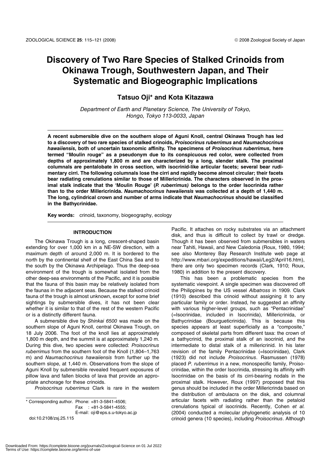# **Discovery of Two Rare Species of Stalked Crinoids from Okinawa Trough, Southwestern Japan, and Their Systematic and Biogeographic Implications**

# **Tatsuo Oji\* and Kota Kitazawa**

Department of Earth and Planetary Science, The University of Tokyo, Hongo, Tokyo 113-0033, Japan

**A recent submersible dive on the southern slope of Aguni Knoll, central Okinawa Trough has led to a discovery of two rare species of stalked crinoids, Proisocrinus ruberrimus and Naumachocrinus hawaiiensis, both of uncertain taxonomic affinity. The specimens of Proisocrinus ruberrimus, here termed "Moulin rouge" as a pseudonym due to its conspicuous red color, were collected from depths of approximately 1,800 m and are characterized by a long, slender stalk. The proximal columnals are pentalobate in cross section, with isocrinid-like articular facets; several bear rudimentary cirri. The following columnals lose the cirri and rapidly become almost circular; their facets bear radiating crenulations similar to those of Millericrinida. The characters observed in the proximal stalk indicate that the 'Moulin Rouge' (P. ruberrimus) belongs to the order Isocrinida rather than to the order Millericrinida. Naumachocrinus hawaiiensis was collected at a depth of 1,440 m. The long, cylindrical crown and number of arms indicate that Naumachocrinus should be classified in the Bathycrinidae.**

**Key words:** crinoid, taxonomy, biogeography, ecology

# **INTRODUCTION**

The Okinawa Trough is a long, crescent-shaped basin extending for over 1,000 km in a NE-SW direction, with a maximum depth of around 2,000 m. It is bordered to the north by the continental shelf of the East China Sea and to the south by the Okinawa Archipelago. Thus the deep-sea environment of the trough is somewhat isolated from the other deep-sea environments of the Pacific, and it is possible that the fauna of this basin may be relatively isolated from the faunas in the adjacent seas. Because the stalked crinoid fauna of the trough is almost unknown, except for some brief sightings by submersible dives, it has not been clear whether it is similar to that of the rest of the western Pacific or is a distinctly different fauna.

A submersible dive by Shinkai 6500 was made on the southern slope of Aguni Knoll, central Okinawa Trough, on 18 July 2006. The foot of the knoll lies at approximately 1,800 m depth, and the summit is at approximately 1,240 m. During this dive, two species were collected: Proisocrinus ruberrimus from the southern foot of the Knoll (1,804–1,763 m) and Naumachocrinus hawaiiensis from further up the southern slope, at 1,440 m. Observations from the slope of Aguni Knoll by submersible revealed frequent exposures of pillow lava and fallen blocks of lava that provide an appropriate anchorage for these crinoids.

Proisocrinus ruberrimus Clark is rare in the western

\* Corresponding author. Phone: +81-3-5841-4506; Fax : +81-3-5841-4555; E-mail: oji@eps.s.u-tokyo.ac.jp doi:10.2108/zsj.25.115

Pacific. It attaches on rocky substrates via an attachment disk, and thus is difficult to collect by trawl or dredge. Though it has been observed from submersibles in waters near Tahiti, Hawaii, and New Caledonia (Roux, 1980, 1994; see also Monterey Bay Research Institute web page at http://www.mbari.org/expeditions/hawaii/Leg2/April16.htm), there are only two specimen records (Clark, 1910; Roux, 1980) in addition to the present discovery.

This has been a problematic species from the systematic viewpoint. A single specimen was discovered off the Philippines by the US vessel Albatross in 1909. Clark (1910) described this crinoid without assigning it to any particular family or order. Instead, he suggested an affinity with various higher-level groups, such as "Pentacrinidae" (=Isocrinidae, included in Isocrinida), Millericrinida, or Bathycrinidae (Bourgueticrinida). This is because this species appears at least superficially as a "composite," composed of skeletal parts from different taxa: the crown of a bathycrinid, the proximal stalk of an isocrinid, and the intermediate to distal stalk of a millericrinid. In his later revision of the family Pentacrinidae (=Isocrinidae), Clark (1923) did not include Proisocrinus. Rasmussen (1978) placed P. ruberrimus in a new, monospecific family, Proisocrinidae, within the order Isocrinida, stressing its affinity with Isocrinidae on the basis of its cirri-bearing nodals in the proximal stalk. However, Roux (1997) proposed that this genus should be included in the order Millericrinda based on the distribution of ambulacra on the disk, and columnal articular facets with radiating rather than the petaloid crenulations typical of isocrinids. Recently, Cohen et al. (2004) conducted a molecular phylogenetic analysis of 10 crinoid genera (10 species), including Proisocrinus. Although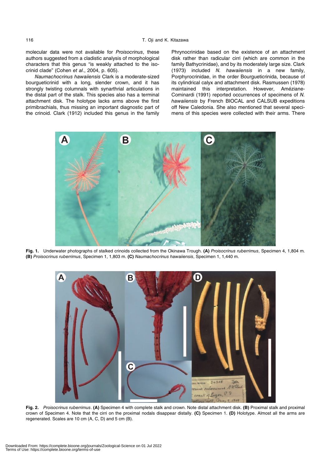molecular data were not available for Proisocrinus, these authors suggested from a cladistic analysis of morphological characters that this genus "is weakly attached to the isocrinid clade" (Cohen et al., 2004, p. 605).

Naumachocrinus hawaiiensis Clark is a moderate-sized bourgueticrinid with a long, slender crown, and it has strongly twisting columnals with synarthrial articulations in the distal part of the stalk. This species also has a terminal attachment disk. The holotype lacks arms above the first primibrachials, thus missing an important diagnostic part of the crinoid. Clark (1912) included this genus in the family

Phrynocrinidae based on the existence of an attachment disk rather than radicular cirri (which are common in the family Bathycrinidae), and by its moderately large size. Clark (1973) included N. hawaiiensis in a new family, Porphyrocrinidae, in the order Bourgueticrinida, because of its cylindrical calyx and attachment disk. Rasmussen (1978) maintained this interpretation. However, Améziane-Cominardi (1991) reported occurrences of specimens of N. hawaiiensis by French BIOCAL and CALSUB expeditions off New Caledonia. She also mentioned that several specimens of this species were collected with their arms. There



Fig. 1. Underwater photographs of stalked crinoids collected from the Okinawa Trough. (A) Proisocrinus ruberrimus, Specimen 4, 1,804 m. **(B)** Proisocrinus ruberrimus, Specimen 1, 1,803 m. **(C)** Naumachocrinus hawaiiensis, Specimen 1, 1,440 m.



**Fig. 2.** Proisocrinus ruberrimus. **(A)** Specimen 4 with complete stalk and crown. Note distal attachment disk. **(B)** Proximal stalk and proximal crown of Specimen 4. Note that the cirri on the proximal nodals disappear distally. **(C)** Specimen 1. **(D)** Holotype. Almost all the arms are regenerated. Scales are 10 cm (A, C, D) and 5 cm (B).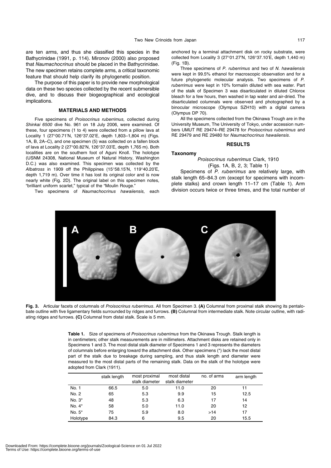are ten arms, and thus she classified this species in the Bathycrinidae (1991, p. 114). Mironov (2000) also proposed that Naumachocrinus should be placed in the Bathycrinidae. The new specimen retains complete arms, a critical taxonomic feature that should help clarify its phylogenetic position.

The purpose of this paper is to provide new morphological data on these two species collected by the recent submersible dive, and to discuss their biogeographical and ecological implications.

# **MATERIALS AND METHODS**

Five specimens of Proisocrinus ruberrimus, collected during Shinkai 6500 dive No. 961 on 18 July 2006, were examined. Of these, four specimens (1 to 4) were collected from a pillow lava at Locality 1 (27°00.71'N, 126°37.02'E, depth 1,803–1,804 m) (Figs. 1A, B, 2A–C), and one specimen (5) was collected on a fallen block of lava at Locality 2 (27°00.82'N, 126°37.03'E, depth 1,765 m). Both localities are on the southern foot of Aguni Knoll. The holotype (USNM 24308, National Museum of Natural History, Washington D.C.) was also examined. This specimen was collected by the Albatross in 1909 off the Philippines (15°58.15'N, 119°40.20'E, depth 1,719 m). Over time it has lost its original color and is now nearly white (Fig. 2D). The original label on this specimen notes, "brilliant uniform scarlet," typical of the "Moulin Rouge."

Two specimens of Naumachocrinus hawaiiensis, each

anchored by a terminal attachment disk on rocky substrate, were collected from Locality 3 (27°01.27'N, 126°37.10'E, depth 1,440 m) (Fig. 1B).

Three specimens of P. ruberrimus and two of N. hawaiiensis were kept in 99.5% ethanol for macroscopic observation and for a future phylogenetic molecular analysis. Two specimens of P. ruberrimus were kept in 10% formalin diluted with sea water. Part of the stalk of Specimen 3 was disarticulated in diluted Chlorox bleach for a few hours, then washed in tap water and air-dried. The disarticulated columnals were observed and photographed by a binocular microscope (Olympus SZH10) with a digital camera (Olympus DP 70).

All the specimens collected from the Okinawa Trough are in the University Museum, The University of Tokyo, under accession numbers UMUT RE 29474–RE 29478 for Proisocrinus ruberrimus and RE 29479 and RE 29480 for Naumachocrinus hawaiiensis.

#### **RESULTS**

# **Taxonomy**

Proisocrinus ruberrimus Clark, 1910 (Figs. 1A, B, 2, 3; Table 1)

Specimens of P. ruberrimus are relatively large, with stalk length 65–84.3 cm (except for specimens with incomplete stalks) and crown length 11–17 cm (Table 1). Arm division occurs twice or three times, and the total number of



**Fig. 3.** Articular facets of columnals of Proisocrinus ruberrimus. All from Specimen 3. **(A)** Columnal from proximal stalk showing its pentalobate outline with five ligamentary fields surrounded by ridges and furrows. **(B)** Columnal from intermediate stalk. Note circular outline, with radiating ridges and furrows. **(C)** Columnal from distal stalk. Scale is 5 mm.

**Table 1.** Size of specimens of Proisocrinus ruberrimus from the Okinawa Trough. Stalk length is in centimeters; other stalk measurements are in millimeters. Attachment disks are retained only in Specimens 1 and 3. The most distal stalk diameter of Specimens 1 and 3 represents the diameters of columnals before enlarging toward the attachment disk. Other specimens (\*) lack the most distal part of the stalk due to breakage during sampling, and thus stalk length and diameter were measured to the most distal parts of the remaining stalk. Data on the stalk of the holotype were adopted from Clark (1911).

|          | stalk length | most proximal  | most distal    | no. of arms | arm length |
|----------|--------------|----------------|----------------|-------------|------------|
|          |              | stalk diameter | stalk diameter |             |            |
| No. 1    | 66.5         | 5.0            | 11.0           | 20          |            |
| No. 2    | 65           | 5.3            | 9.9            | 15          | 12.5       |
| No. 3*   | 48           | 5.3            | 6.3            | 17          | 14         |
| No. 4*   | 58           | 5.0            | 11.0           | 20          | 12         |
| No. 5*   | 75           | 5.9            | 8.0            | >14         | 17         |
| Holotype | 84.3         | 6              | 9.5            | 20          | 15.5       |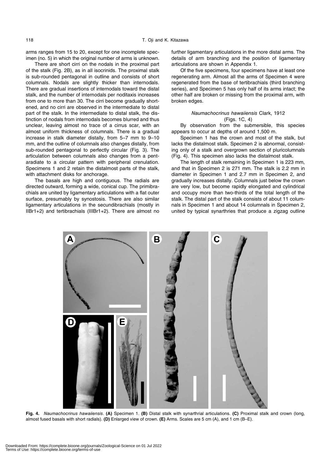arms ranges from 15 to 20, except for one incomplete specimen (no. 5) in which the original number of arms is unknown.

There are short cirri on the nodals in the proximal part of the stalk (Fig. 2B), as in all isocrinids. The proximal stalk is sub-rounded pentagonal in outline and consists of short columnals. Nodals are slightly thicker than internodals. There are gradual insertions of internodals toward the distal stalk, and the number of internodals per noditaxis increases from one to more than 30. The cirri become gradually shortened, and no cirri are observed in the intermediate to distal part of the stalk. In the intermediate to distal stalk, the distinction of nodals from internodals becomes blurred and thus unclear, leaving almost no trace of a cirrus scar, with an almost uniform thickness of columnals. There is a gradual increase in stalk diameter distally, from 5–7 mm to 9–10 mm, and the outline of columnals also changes distally, from sub-rounded pentagonal to perfectly circular (Fig. 3). The articulation between columnals also changes from a pentaradiate to a circular pattern with peripheral crenulation. Specimens 1 and 2 retain the distalmost parts of the stalk, with attachment disks for anchorage.

The basals are high and contiguous. The radials are directed outward, forming a wide, conical cup. The primibrachials are united by ligamentary articulations with a flat outer surface, presumably by synostosis. There are also similar ligamentary articulations in the secundibrachials (mostly in IIBr1+2) and tertibrachials (IIIBr1+2). There are almost no

further ligamentary articulations in the more distal arms. The details of arm branching and the position of ligamentary articulations are shown in Appendix 1.

Of the five specimens, four specimens have at least one regenerating arm. Almost all the arms of Specimen 4 were regenerated from the base of tertibrachials (third branching series), and Specimen 5 has only half of its arms intact; the other half are broken or missing from the proximal arm, with broken edges.

# Naumachocrinus hawaiiensis Clark, 1912 (Figs. 1C, 4)

By observation from the submersible, this species appears to occur at depths of around 1,500 m.

Specimen 1 has the crown and most of the stalk, but lacks the distalmost stalk. Specimen 2 is abnormal, consisting only of a stalk and overgrown section of pluricolumnals (Fig. 4). This specimen also lacks the distalmost stalk.

The length of stalk remaining in Specimen 1 is 223 mm, and that in Specimen 2 is 271 mm. The stalk is 2.2 mm in diameter in Specimen 1 and 2.7 mm in Specimen 2, and gradually increases distally. Columnals just below the crown are very low, but become rapidly elongated and cylindrical and occupy more than two-thirds of the total length of the stalk. The distal part of the stalk consists of about 11 columnals in Specimen 1 and about 14 columnals in Specimen 2, united by typical synarthries that produce a zigzag outline



**Fig. 4.** Naumachocrinus hawaiiensis. **(A)** Specimen 1. **(B)** Distal stalk with synarthrial articulations. **(C)** Proximal stalk and crown (long, almost fused basals with short radials). **(D)** Enlarged view of crown. **(E)** Arms. Scales are 5 cm (A), and 1 cm (B–E).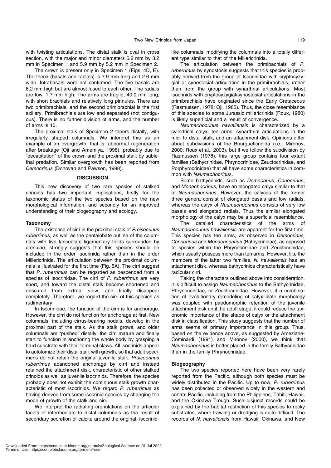with twisting articulations. The distal stalk is oval in cross section, with the major and minor diameters 6.2 mm by 3.2 mm in Specimen 1 and 5.9 mm by 5.2 mm in Specimen 2.

The crown is present only in Specimen 1 (Figs. 4D, E). The theca (basals and radials) is 7.9 mm long and 2.6 mm wide. Infrabasals were not confirmed. The five basals are 6.2 mm high but are almost fused to each other. The radials are low, 1.7 mm high. The arms are fragile, 40.0 mm long, with short brachials and relatively long pinnules. There are two primibrachials, and the second primibrachial is the first axillary. Primibrachials are low and separated (not contiguous). There is no further division of arms, and the number of arms is 10.

The proximal stalk of Specimen 2 tapers distally, with irregularly shaped columnals. We interpret this as an example of an overgrowth, that is, abnormal regeneration after breakage (Oji and Amemiya, 1998), probably due to "decapitation" of the crown and the proximal stalk by sublethal predation. Similar overgrowth has been reported from Democrinus (Donovan and Pawson, 1998).

# **DISCUSSION**

This new discovery of two rare species of stalked crinoids has two important implications, firstly for the taxonomic status of the two species based on the new morphological information, and secondly for an improved understanding of their biogeography and ecology.

#### **Taxonomy**

The existence of cirri in the proximal stalk of Proisocrinus ruberrimus, as well as the pentalobate outline of the columnals with five lanceolate ligamentary fields surrounded by crenulae, strongly suggests that this species should be included in the order Isocrinida rather than in the order Millericrinida. The articulation between the proximal columnals is illustrated for the first time (Fig. 5A). The cirri suggest that P. ruberrimus can be regarded as descended from a species of Isocrinidae. The cirri of P. ruberrimus are very short, and toward the distal stalk become shortened and obscured from extrnal view, and finally disappear completely. Therefore, we regard the cirri of this species as rudimentary.

In Isocrinidae, the function of the cirri is for anchorage. However, the cirri do not function for anchorage at first. New columnals, including cirrus-bearing nodals, develop in the proximal part of the stalk. As the stalk grows, and older columnals are "pushed" distally, the cirri mature and finally start to function in anchoring the whole body by grasping a hard substrate with their terminal claws. All isocrinids appear to autotomize their distal stalk with growth, so that adult specimens do not retain the original juvenile stalk. Proisocrinus ruberrimus abandoned anchorage by cirri and instead retained the attachment disk, characteristic of other stalked crinoids as well as juvenile isocrinids. Therefore, the species probably does not exhibit the continuous stalk growth characteristic of most isocrinids. We regard P. ruberrimus as having derived from some isocrinid species by changing the mode of growth of the stalk and cirri.

We interpret the radiating crenulations on the articular facets of intermediate to distal columnals as the result of secondary secretion of calcite around the original, isocrinidlike columnals, modifying the columnals into a totally different type similar to that of the Millericrinida.

The articulation between the primibachials of P. ruberrimus by synostosis suggests that this species is probably derived from the group of Isocrinidae with cryptosyzygial or synostosial articulation in the primibrachials, rather than from the group with synarthrial articulations. Most isocrinids with cryptosyzygial/synostosial articulations in the primibrachials have originated since the Early Cretaceous (Rasmussen, 1978; Oji, 1985). Thus, the close resemblance of this species to some Jurassic millericrinids (Roux, 1980) is likely superficial and a result of convergence.

Naumachocrinus hawaiiensis is characterized by a cylindrical calyx, ten arms, synarthrial articulations in the mid- to distal stalk, and an attachment disk. Opinions differ about subdivisions of the Bourgueticrinida (i.e., Mironov, 2000; Roux et al., 2003), but if we follow the subdivision by Rasmussen (1978), this large group contains four extant families (Bathycrinidae, Phrynocrinidae, Zeuctocrinidae, and Porphyrocrinidae) that all have some characteristics in common with Naumachocrinus.

Some bathycrinids, such as Democrinus, Conocrinus, and Monachocrinus, have an elongated calyx similar to that of Naumachocrinus. However, the calyces of the former three genera consist of elongated basals and low radials, whereas the calyx of Naumachocrinus consists of very low basals and elongated radials. Thus the similar elongated morphology of the calyx may be a superficial resemblance.

The detailed characteristics of the arms of Naumachocrinus hawaiiensis are apparent for the first time. This species has ten arms, as observed in Democrinus, Conocrinus and Monachocrinus (Bathycrinidae), as opposed to species within the Phrynocrinidae and Zeuctocrinidae, which usually possess more than ten arms. However, like the members of the latter two families, N. hawaiiensis has an attachment disk, whereas bathycrinids characteristically have radicular cirri.

Taking the characters outlined above into consideration, it is difficult to assign Naumachocrinus to the Bathycrinidae, Phrynocrinidae, or Zeuctocrinidae. However, if a combination of evolutionary remodeling of calyx plate morphology was coupled with paedomorphic retention of the juvenile attachment disk until the adult stage, it could reduce the taxonomic importance of the shape of calyx or the attachment disk in classification. This study suggests that the number of arms seems of primary importance in this group. Thus, based on the evidence above, as suggested by Ameziane-Cominardi (1991) and Mironov (2000), we think that Naumachocrinus is better placed in the family Bathycrinidae than in the family Phrynocrinidae.

#### **Biogeography**

The two species reported here have been very rarely reported from the Pacific, although both species must be widely distributed in the Pacific. Up to now, P. ruberrimus has been collected or observed widely in the western and central Pacific, including from the Philippines, Tahiti, Hawaii, and the Okinawa Trough. Such disjunct records could be explained by the habitat restriction of this species to rocky substrates, where trawling or dredging is quite difficult. The records of N. hawaiiensis from Hawaii, Okinawa, and New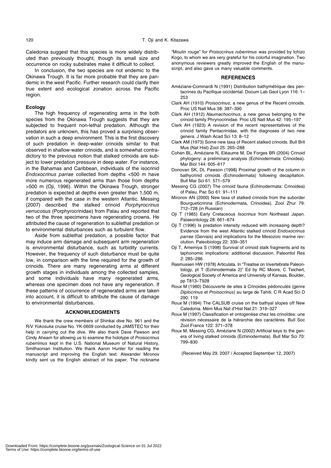Caledonia suggest that this species is more widely distributed than previously thought, though its small size and occurrence on rocky substrates make it difficult to collect.

In conclusion, the two species are not endemic to the Okinawa Trough. It is far more probable that they are pandemic in the west Pacific. Further research could clarify their true extent and ecological zonation across the Pacific region.

# **Ecology**

The high frequency of regenerating arms in the both species from the Okinawa Trough suggests that they are subjected to frequent non-lethal predation. Although the predators are unknown, this has proved a surprising observation in such a deep environment. This is the first discovery of such predation in deep-water crinoids similar to that observed in shallow-water crinoids, and is somewhat contradictory to the previous notion that stalked crinoids are subject to lower predation pressure in deep water. For instance, in the Bahamas and Caribbean, individuals of the isocrinid Endoxocrinus parrae collected from depths <500 m have more numerous regenerated arms than those from depths >500 m (Oji, 1996). Within the Okinawa Trough, stronger predation is expected at depths even greater than 1,500 m, if compared with the case in the western Atlantic. Messing (2007) described the stalked crinoid Porphyrocrinus verrucosus (Porphyrocrinidae) from Palau and reported that two of the three specimens have regenerating crowns. He attributed the cause of regeneration to sublethal predation or to environmental disturbances such as turbulent flow.

Aside from sublethal predation, a possible factor that may induce arm damage and subsequent arm regeneration is environmental disturbance, such as turbidity currents. However, the frequency of such disturbance must be quite low, in comparison with the time required for the growth of crinoids. There are many regenerating arms at different growth stages in individuals among the collected samples, and some individuals have many regenerated arms, whereas one specimen does not have any regeneration. If these patterns of occurrence of regenerated arms are taken into account, it is difficult to attribute the cause of damage to environmental disturbances.

# **ACKNOWLEDGMENTS**

We thank the crew members of Shinkai dive No. 961 and the R/V Yokosuka cruise No. YK-0609 conducted by JAMSTEC for their help in carrying out the dive. We also thank Dave Pawson and Cindy Ahearn for allowing us to examine the holotype of Proisocrinus ruberrimus kept in the U.S. National Museum of Natural History, Smithsonian Institution. We thank Aaron Hunter for reading the manuscript and improving the English text. Alexander Mironov kindly sent us the English abstract of his paper. The nickname "Moulin rouge" for Proisocrinus ruberrimus was provided by Ichizo Kogo, to whom we are very grateful for his colorful imagination. Two anonymous reviewers greatly improved the English of the manuscript, and also gave us many valuable comments.

### **REFERENCES**

- Améziane-Cominardi N (1991) Distribution bathymétrique des pentacrines du Pacifique occidental. Docum Lab Geol Lyon 116: 1– 253
- Clark AH (1910) Proisocrinus, a new genus of the Recent crinoids. Proc US Natl Mus 38: 387–390
- Clark AH (1912) Naumachocrinus, a new genus belonging to the crinoid family Phrynocrinidae. Proc US Natl Mus 42: 195–197
- Clark AH (1923) A revision of the recent representatives of the crinoid family Pentacrinidae, with the diagnoses of two new genera. J Wash Acad Sci 13: 8–12
- Clark AM (1973) Some new taxa of Recent stalked crinoids. Bull Brit Mus (Nat Hist) Zool 25: 265–288
- Cohen BL, Améziane N, Eléaume M, De Forges BR (2004) Crinoid phylogeny: a preliminary analysis (Echinodermata: Crinoidea). Mar Biol 144: 605–617
- Donovan SK, DL Pawson (1998) Proximal growth of the column in bathycrinid crinoids (Echinodermata) following decapitation. Bull Mar Sci 61: 571–579
- Messing CG (2007) The crinoid fauna (Echinodermata: Crinoidea) of Palau. Pac Sci 61: 91–111
- Mironov AN (2000) New taxa of stalked crinoids from the suborder Bourgueticrinina (Echinodermata, Crinoidea). Zool Zhur 79: 712–728 (in Russian)
- Oji T (1985) Early Cretaceous Isocrinus from Northeast Japan. Palaeontology 28: 661–674
- Oji T (1996) Is predation intensity reduced with increasing depth? Evidence from the west Atlantic stalked crinoid Endoxocrinus parrae (Gervais) and implications for the Mesozoic marine revolution. Paleobiology 22: 339–351
- Oji T, Amemiya S (1998) Survival of crinoid stalk fragments and its taphonomic implications: additional discussion. Paleontol Res 2: 285–286
- Rasmussen HW (1978) Articulata. In "Treatise on Invertebrate Paleontology, pt T (Echinodermata 2)" Ed by RC Moore, C Teichert, Geological Society of America and University of Kansas, Boulder, pp T813–T928
- Roux M (1980) Découverte de sites à Crinoides pédonculés (genre Diplocrinus et Proisocrinus) au large de Tahiti. C R Acad Sci D 290: 119
- Roux M (1994) The CALSUB cruise on the bathyal slopes off New Caledonia. Mém Mus Nat d'Hist Nat 21: 319–327
- Roux M (1997) Classification et ontogenèse chez les crinoïdes: une révision nécessaire de la hiérarchie des caractères. Bull Soc Zool France 122: 371–378
- Roux M, Messing CG, Améziane N (2002) Artificial keys to the genera of living stalked crinoids (Echinodermata). Bull Mar Sci 70: 799–830

(Received May 29, 2007 / Accepted September 12, 2007)